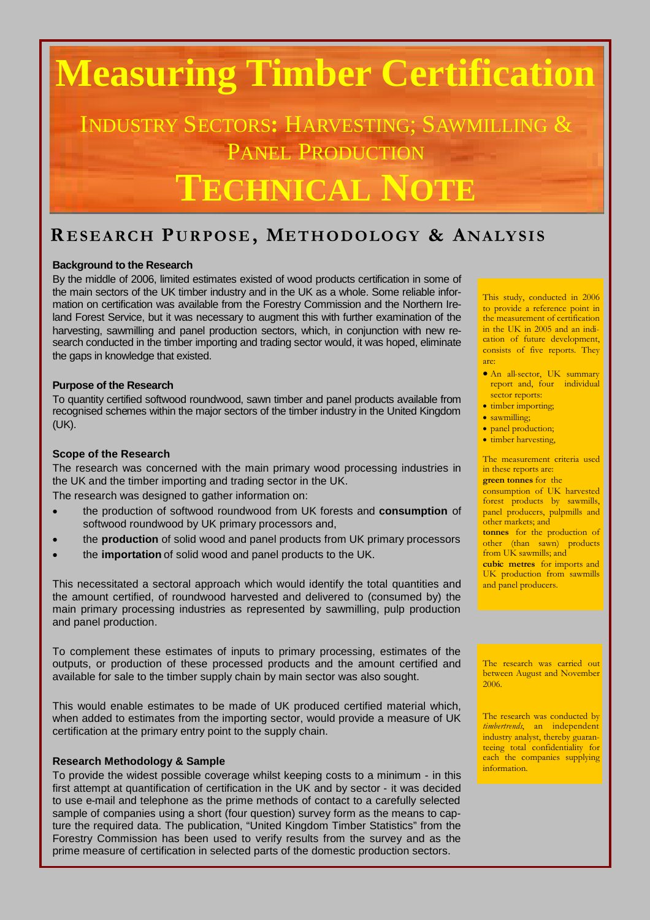# **Measuring Timber Certification**

INDUSTRY SECTORS**:** HARVESTING; SAWMILLING & PANEL PRODUCTION

## **TECHNICAL NOTE**

### **R E SE ARCH PUR PO SE , METH OD O LO GY & ANALY SI S**

#### **Background to the Research**

By the middle of 2006, limited estimates existed of wood products certification in some of the main sectors of the UK timber industry and in the UK as a whole. Some reliable information on certification was available from the Forestry Commission and the Northern Ireland Forest Service, but it was necessary to augment this with further examination of the harvesting, sawmilling and panel production sectors, which, in conjunction with new research conducted in the timber importing and trading sector would, it was hoped, eliminate the gaps in knowledge that existed.

#### **Purpose of the Research**

To quantity certified softwood roundwood, sawn timber and panel products available from recognised schemes within the major sectors of the timber industry in the United Kingdom (UK).

#### **Scope of the Research**

The research was concerned with the main primary wood processing industries in the UK and the timber importing and trading sector in the UK.

The research was designed to gather information on:

- the production of softwood roundwood from UK forests and **consumption** of softwood roundwood by UK primary processors and,
- the **production** of solid wood and panel products from UK primary processors
- the **importation** of solid wood and panel products to the UK.

This necessitated a sectoral approach which would identify the total quantities and the amount certified, of roundwood harvested and delivered to (consumed by) the main primary processing industries as represented by sawmilling, pulp production and panel production.

To complement these estimates of inputs to primary processing, estimates of the outputs, or production of these processed products and the amount certified and available for sale to the timber supply chain by main sector was also sought.

This would enable estimates to be made of UK produced certified material which, when added to estimates from the importing sector, would provide a measure of UK certification at the primary entry point to the supply chain.

#### **Research Methodology & Sample**

To provide the widest possible coverage whilst keeping costs to a minimum - in this first attempt at quantification of certification in the UK and by sector - it was decided to use e-mail and telephone as the prime methods of contact to a carefully selected sample of companies using a short (four question) survey form as the means to capture the required data. The publication, "United Kingdom Timber Statistics" from the Forestry Commission has been used to verify results from the survey and as the prime measure of certification in selected parts of the domestic production sectors.

This study, conducted in 2006 to provide a reference point in the measurement of certification in the UK in 2005 and an indication of future development, consists of five reports. They are:

- An all-sector, UK summary report and, four individual sector reports:
- timber importing;
- sawmilling:
- panel production;
- timber harvesting,

The measurement criteria used in these reports are:

**green tonnes** for the consumption of UK harvested forest products by sawmills, panel producers, pulpmills and other markets; and

**tonnes** for the production of other (than sawn) products from UK sawmills; and

**cubic metres** for imports and UK production from sawmills and panel producers.

The research was carried out between August and November 2006.

The research was conducted by *timbertrends*, an independent industry analyst, thereby guaranteeing total confidentiality for each the companies supplying information.